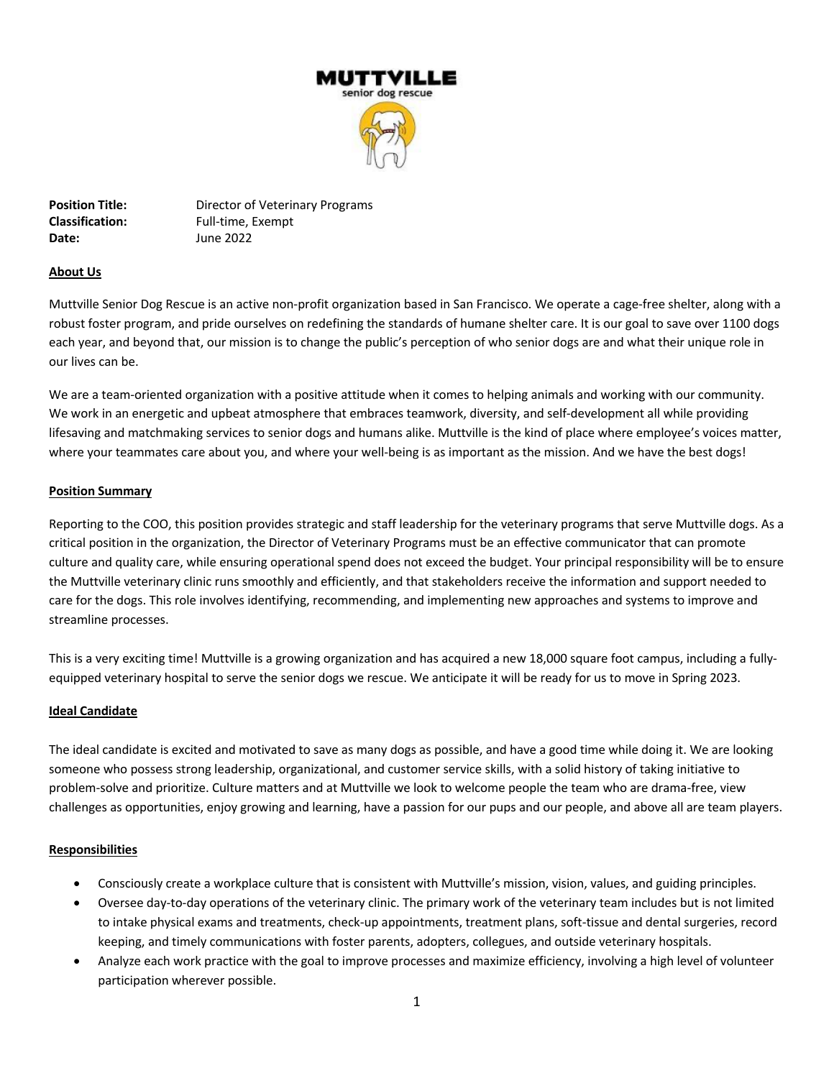

**Position Title: Director of Veterinary Programs Classification:** Full-time, Exempt **Date:** June 2022

# **About Us**

Muttville Senior Dog Rescue is an active non-profit organization based in San Francisco. We operate a cage-free shelter, along with a robust foster program, and pride ourselves on redefining the standards of humane shelter care. It is our goal to save over 1100 dogs each year, and beyond that, our mission is to change the public's perception of who senior dogs are and what their unique role in our lives can be.

We are a team-oriented organization with a positive attitude when it comes to helping animals and working with our community. We work in an energetic and upbeat atmosphere that embraces teamwork, diversity, and self-development all while providing lifesaving and matchmaking services to senior dogs and humans alike. Muttville is the kind of place where employee's voices matter, where your teammates care about you, and where your well-being is as important as the mission. And we have the best dogs!

#### **Position Summary**

Reporting to the COO, this position provides strategic and staff leadership for the veterinary programs that serve Muttville dogs. As a critical position in the organization, the Director of Veterinary Programs must be an effective communicator that can promote culture and quality care, while ensuring operational spend does not exceed the budget. Your principal responsibility will be to ensure the Muttville veterinary clinic runs smoothly and efficiently, and that stakeholders receive the information and support needed to care for the dogs. This role involves identifying, recommending, and implementing new approaches and systems to improve and streamline processes.

This is a very exciting time! Muttville is a growing organization and has acquired a new 18,000 square foot campus, including a fullyequipped veterinary hospital to serve the senior dogs we rescue. We anticipate it will be ready for us to move in Spring 2023.

#### **Ideal Candidate**

The ideal candidate is excited and motivated to save as many dogs as possible, and have a good time while doing it. We are looking someone who possess strong leadership, organizational, and customer service skills, with a solid history of taking initiative to problem-solve and prioritize. Culture matters and at Muttville we look to welcome people the team who are drama-free, view challenges as opportunities, enjoy growing and learning, have a passion for our pups and our people, and above all are team players.

# **Responsibilities**

- Consciously create a workplace culture that is consistent with Muttville's mission, vision, values, and guiding principles.
- Oversee day-to-day operations of the veterinary clinic. The primary work of the veterinary team includes but is not limited to intake physical exams and treatments, check-up appointments, treatment plans, soft-tissue and dental surgeries, record keeping, and timely communications with foster parents, adopters, collegues, and outside veterinary hospitals.
- Analyze each work practice with the goal to improve processes and maximize efficiency, involving a high level of volunteer participation wherever possible.